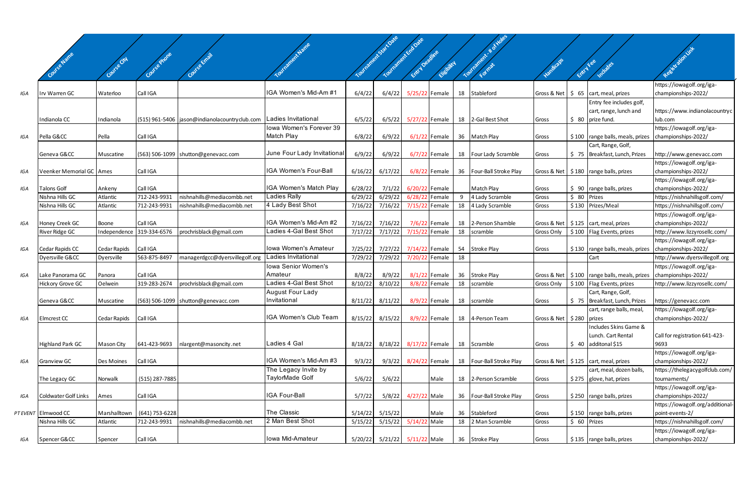|     | Covie States               |              |                             |                                                 |                              |         | Youthamet-Sactoste<br>Tourisment Endorse | Entry Depthic  | Elisbitch       |    | Tourisment.<br>Format      |                                           | Entrytee     | Includes                                                 | Resistation int                                  |
|-----|----------------------------|--------------|-----------------------------|-------------------------------------------------|------------------------------|---------|------------------------------------------|----------------|-----------------|----|----------------------------|-------------------------------------------|--------------|----------------------------------------------------------|--------------------------------------------------|
|     | Irv Warren GC              |              | Call IGA                    |                                                 | IGA Women's Mid-Am #1        | 6/4/22  | 6/4/22                                   |                |                 |    | 18 Stableford              |                                           |              | Gross & Net   \$ 65   cart, meal, prizes                 | https://iowagolf.org/iga-                        |
| IGA |                            | Waterloo     |                             |                                                 |                              |         |                                          | 5/25/22 Female |                 |    |                            |                                           |              | Entry fee includes golf,                                 | championships-2022/                              |
|     | Indianola CC               | Indianola    |                             | (515) 961-5406   jason@indianolacountryclub.com | Ladies Invitational          | 6/5/22  | 6/5/22                                   | 5/27/22 Female |                 |    | 18 2-Gal Best Shot         | Gross                                     |              | cart, range, lunch and<br>$$80$ prize fund.              | https://www.indianolacountryc<br>lub.com         |
|     |                            |              |                             |                                                 | lowa Women's Forever 39      |         |                                          |                |                 |    |                            |                                           |              |                                                          | https://iowagolf.org/iga-                        |
| IGA | Pella G&CC                 | Pella        | Call IGA                    |                                                 | Match Play                   | 6/8/22  | 6/9/22                                   |                | $6/1/22$ Female |    | 36 Match Play              | Gross                                     |              | \$100   range balls, meals, prizes   championships-2022/ |                                                  |
|     |                            |              |                             |                                                 |                              |         |                                          |                |                 |    |                            |                                           |              | Cart, Range, Golf,                                       |                                                  |
|     | Geneva G&CC                | Muscatine    |                             | (563) 506-1099   shutton@genevacc.com           | June Four Lady Invitationa   | 6/9/22  | 6/9/22                                   |                | $6/7/22$ Female |    | 18 Four Lady Scramble      | Gross                                     |              | \$75 Breakfast, Lunch, Prizes                            | http://www.genevacc.com                          |
| IGA | Veenker Memorial GC   Ames |              | Call IGA                    |                                                 | <b>IGA Women's Four-Ball</b> | 6/16/22 | 6/17/22                                  |                | $6/8/22$ Female |    | 36   Four-Ball Stroke Play |                                           |              | Gross & Net   \$180   range balls, prizes                | https://iowagolf.org/iga-<br>championships-2022/ |
|     |                            |              |                             |                                                 |                              |         |                                          |                |                 |    |                            |                                           |              |                                                          | https://iowagolf.org/iga-                        |
| IGA | <b>Talons Golf</b>         | Ankeny       | Call IGA                    |                                                 | IGA Women's Match Play       | 6/28/22 | 7/1/22                                   | 6/20/22 Female |                 |    | Match Play                 | Gross                                     |              | $\frac{1}{2}$ 90   range balls, prizes                   | championships-2022/                              |
|     | Nishna Hills GC            | Atlantic     | 712-243-9931                | nishnahills@mediacombb.net                      | Ladies Rally                 | 6/29/22 | 6/29/22                                  | 6/28/22 Female |                 | 9  | 4 Lady Scramble            | Gross                                     | \$ 80 Prizes |                                                          | https://nishnahillsgolf.com/                     |
|     | Nishna Hills GC            | Atlantic     | 712-243-9931                | nishnahills@mediacombb.net                      | 4 Lady Best Shot             | 7/16/22 | 7/16/22                                  | 7/15/22 Female |                 | 18 | 4 Lady Scramble            | Gross                                     |              | \$130 Prizes/Meal                                        | https://nishnahillsgolf.com/                     |
|     |                            |              |                             |                                                 |                              |         |                                          |                |                 |    |                            |                                           |              |                                                          | https://iowagolf.org/iga-                        |
| IGA | Honey Creek GC             | Boone        | Call IGA                    |                                                 | IGA Women's Mid-Am #2        | 7/16/22 | 7/16/22                                  |                | 7/6/22 Female   |    | 18 2-Person Shamble        |                                           |              | Gross & Net   \$125   cart, meal, prizes                 | championships-2022/                              |
|     | River Ridge GC             | Independence | 319-334-6576                | prochrisblack@gmail.com                         | Ladies 4-Gal Best Shot       | 7/17/22 | 7/17/22                                  | 7/15/22 Female |                 | 18 | scramble                   | Gross Only                                |              | \$100   Flag Events, prizes                              | http://www.lizzyrosellc.com/                     |
| IGA | Cedar Rapids CC            | Cedar Rapids | Call IGA                    |                                                 | Iowa Women's Amateur         | 7/25/22 | 7/27/22                                  | 7/14/22 Female |                 |    | 54 Stroke Play             | Gross                                     |              | \$130   range balls, meals, prizes                       | https://iowagolf.org/iga-<br>championships-2022/ |
|     | Dyersville G&CC            | Dyersville   | 563-875-8497                | managerdgcc@dyersvillegolf.org                  | Ladies Invitational          | 7/29/22 | 7/29/22                                  | 7/20/22 Female |                 | 18 |                            |                                           |              | Cart                                                     | http://www.dyersvillegolf.org                    |
|     |                            |              |                             |                                                 | Iowa Senior Women's          |         |                                          |                |                 |    |                            |                                           |              |                                                          | https://iowagolf.org/iga-                        |
| IGA | Lake Panorama GC           | Panora       | Call IGA                    |                                                 | Amateur                      | 8/8/22  | 8/9/22                                   |                | $8/1/22$ Female |    | 36 Stroke Play             |                                           |              | Gross & Net   \$100   range balls, meals, prizes         | championships-2022/                              |
|     | Hickory Grove GC           | Oelwein      | 319-283-2674                | prochrisblack@gmail.com                         | Ladies 4-Gal Best Shot       | 8/10/22 | 8/10/22                                  |                | 8/8/22 Female   | 18 | scramble                   | Gross Only                                |              | \$100   Flag Events, prizes                              | http://www.lizzyrosellc.com/                     |
|     |                            |              |                             |                                                 | <b>August Four Lady</b>      |         |                                          |                |                 |    |                            |                                           |              | Cart, Range, Golf,                                       |                                                  |
|     | Geneva G&CC                | Muscatine    |                             | (563) 506-1099   shutton@genevacc.com           | Invitational                 | 8/11/22 | 8/11/22                                  |                | 8/9/22 Female   | 18 | scramble                   | Gross                                     |              | \$75   Breakfast, Lunch, Prizes                          | https://genevacc.com                             |
|     |                            |              |                             |                                                 |                              |         |                                          |                |                 |    |                            |                                           |              | cart, range balls, meal,                                 | https://iowagolf.org/iga-                        |
| IGA | Elmcrest CC                | Cedar Rapids | Call IGA                    |                                                 | <b>IGA Women's Club Team</b> | 8/15/22 | 8/15/22                                  |                | 8/9/22 Female   |    | 18 4-Person Team           | Gross & Net $\frac{1}{2}$ \$ 280   prizes |              |                                                          | championships-2022/                              |
|     |                            |              |                             |                                                 |                              |         |                                          |                |                 |    |                            |                                           |              | Includes Skins Game &<br>Lunch. Cart Rental              | Call for registration 641-423-                   |
|     | <b>Highland Park GC</b>    | Mason City   | 641-423-9693                | nlargent@masoncity.net                          | Ladies 4 Gal                 | 8/18/22 | 8/18/22                                  |                |                 |    | 8/17/22 Female 18 Scramble | Gross                                     |              | $$40$ additonal \$15                                     | 9693                                             |
|     |                            |              |                             |                                                 |                              |         |                                          |                |                 |    |                            |                                           |              |                                                          | https://iowagolf.org/iga-                        |
| IGA | Granview GC                | Des Moines   | Call IGA                    |                                                 | IGA Women's Mid-Am #3        | 9/3/22  | 9/3/22                                   | 8/24/22 Female |                 |    | 18   Four-Ball Stroke Play |                                           |              | Gross & Net   \$125   cart, meal, prizes                 | championships-2022/                              |
|     |                            |              |                             |                                                 | The Legacy Invite by         |         |                                          |                |                 |    |                            |                                           |              | cart, meal, dozen balls,                                 | https://thelegacygolfclub.com/                   |
|     | The Legacy GC              | Norwalk      | (515) 287-7885              |                                                 | TaylorMade Golf              | 5/6/22  | 5/6/22                                   |                | Male            |    | 18 2-Person Scramble       | Gross                                     |              | $$275$ glove, hat, prizes                                | tournaments/                                     |
|     |                            |              |                             |                                                 |                              |         |                                          |                |                 |    |                            |                                           |              |                                                          | https://iowagolf.org/iga-                        |
| IGA | Coldwater Golf Links       | Ames         | Call IGA                    |                                                 | IGA Four-Ball                | 5/7/22  | 5/8/22                                   | 4/27/22 Male   |                 |    | 36   Four-Ball Stroke Play | Gross                                     |              | $$250$ range balls, prizes                               | championships-2022/                              |
|     |                            |              |                             |                                                 |                              |         |                                          |                |                 |    |                            |                                           |              |                                                          | https://iowagolf.org/additional-                 |
|     | PT EVENT Elmwood CC        |              | Marshalltown (641) 753-6228 |                                                 | The Classic                  | 5/14/22 | 5/15/22                                  |                | Male            |    | 36 Stableford              | Gross                                     |              | $$150$ range balls, prizes                               | point-events-2/                                  |
|     | Nishna Hills GC            | Atlantic     | 712-243-9931                | nishnahills@mediacombb.net                      | 2 Man Best Shot              | 5/15/22 | 5/15/22                                  | 5/14/22 Male   |                 |    | 18 2 Man Scramble          | Gross                                     | \$ 60 Prizes |                                                          | https://nishnahillsgolf.com/                     |
|     |                            |              | Call IGA                    |                                                 | Iowa Mid-Amateur             |         |                                          |                |                 |    |                            |                                           |              |                                                          | https://iowagolf.org/iga-                        |
| IGA | Spencer G&CC               | Spencer      |                             |                                                 |                              |         | 5/20/22 5/21/22 5/11/22 Male             |                |                 |    | 36 Stroke Play             | Gross                                     |              | $$135$ range balls, prizes                               | championships-2022/                              |

 $\overline{\phantom{a}}$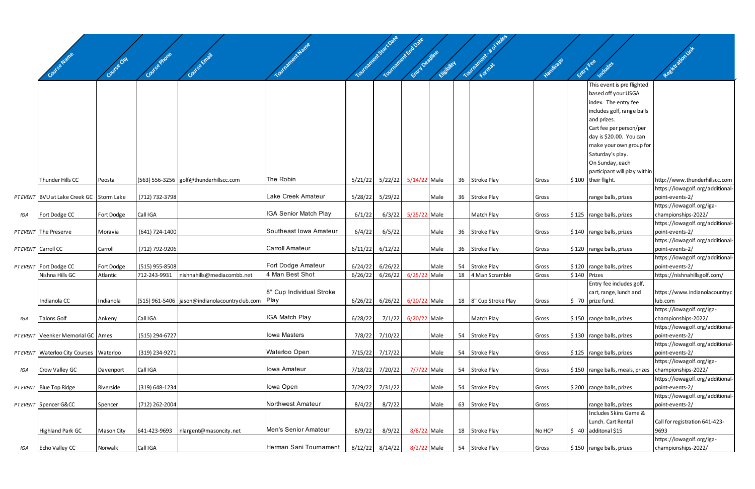|     | Covise Name                              | Covise City | Course Prote   |                                                 |                          |         | Witholson's State Oake<br>Tourisment endoate | Entry Depthic       | Elisbitch |    | Tourisment & o          |        | Entry Fee    | Includes                                              |                                                  |
|-----|------------------------------------------|-------------|----------------|-------------------------------------------------|--------------------------|---------|----------------------------------------------|---------------------|-----------|----|-------------------------|--------|--------------|-------------------------------------------------------|--------------------------------------------------|
|     |                                          |             |                |                                                 |                          |         |                                              |                     |           |    |                         |        |              | This event is pre flighted                            |                                                  |
|     |                                          |             |                |                                                 |                          |         |                                              |                     |           |    |                         |        |              | based off your USGA                                   |                                                  |
|     |                                          |             |                |                                                 |                          |         |                                              |                     |           |    |                         |        |              | index. The entry fee                                  |                                                  |
|     |                                          |             |                |                                                 |                          |         |                                              |                     |           |    |                         |        |              | includes golf, range balls                            |                                                  |
|     |                                          |             |                |                                                 |                          |         |                                              |                     |           |    |                         |        |              | and prizes.<br>Cart fee per person/per                |                                                  |
|     |                                          |             |                |                                                 |                          |         |                                              |                     |           |    |                         |        |              | day is \$20.00. You can                               |                                                  |
|     |                                          |             |                |                                                 |                          |         |                                              |                     |           |    |                         |        |              | make your own group for                               |                                                  |
|     |                                          |             |                |                                                 |                          |         |                                              |                     |           |    |                         |        |              | Saturday's play.                                      |                                                  |
|     |                                          |             |                |                                                 |                          |         |                                              |                     |           |    |                         |        |              | On Sunday, each                                       |                                                  |
|     |                                          |             |                |                                                 |                          |         |                                              |                     |           |    |                         |        |              | participant will play within                          |                                                  |
|     | Thunder Hills CC                         | Peosta      |                | (563) 556-3256 golf@thunderhillscc.com          | The Robin                |         | 5/21/22 5/22/22 5/14/22 Male                 |                     |           |    | 36 Stroke Play          | Gross  |              | $$100$ their flight.                                  | http://www.thunderhillscc.com                    |
|     |                                          |             |                |                                                 |                          |         |                                              |                     |           |    |                         |        |              |                                                       | https://iowagolf.org/additional-                 |
|     | PT EVENT BVU at Lake Creek GC Storm Lake |             | (712) 732-3798 |                                                 | Lake Creek Amateur       |         | 5/28/22 5/29/22                              |                     | Male      |    | 36 Stroke Play          | Gross  |              | range balls, prizes                                   | point-events-2/                                  |
|     |                                          |             |                |                                                 |                          |         |                                              |                     |           |    |                         |        |              |                                                       | https://iowagolf.org/iga-                        |
| IGA | Fort Dodge CC                            | Fort Dodge  | Call IGA       |                                                 | IGA Senior Match Play    | 6/1/22  | 6/3/22                                       | 5/25/22 Male        |           |    | Match Play              | Gross  |              | $$125$ range balls, prizes                            | championships-2022/                              |
|     |                                          |             |                |                                                 |                          |         |                                              |                     |           |    |                         |        |              |                                                       | https://iowagolf.org/additional-                 |
|     | PT EVENT The Preserve                    | Moravia     | (641) 724-1400 |                                                 | Southeast Iowa Amateur   | 6/4/22  | 6/5/22                                       |                     | Male      |    | 36 Stroke Play          | Gross  |              | $$140$ range balls, prizes                            | point-events-2/                                  |
|     |                                          |             |                |                                                 |                          |         |                                              |                     |           |    |                         |        |              |                                                       | https://iowagolf.org/additional-                 |
|     | PT EVENT Carroll CC                      | Carroll     | (712) 792-9206 |                                                 | Carroll Amateur          | 6/11/22 | 6/12/22                                      |                     | Male      |    | 36 Stroke Play          | Gross  |              | $$120$ range balls, prizes                            | point-events-2/                                  |
|     |                                          |             |                |                                                 |                          |         |                                              |                     |           |    |                         |        |              |                                                       | https://iowagolf.org/additional-                 |
|     | PT EVENT Fort Dodge CC                   | Fort Dodge  | (515) 955-8508 |                                                 | Fort Dodge Amateur       | 6/24/22 | 6/26/22                                      |                     | Male      | 54 | Stroke Play             | Gross  |              | $$120$ range balls, prizes                            | point-events-2/                                  |
|     | Nishna Hills GC                          | Atlantic    | 712-243-9931   | nishnahills@mediacombb.net                      | 4 Man Best Shot          | 6/26/22 | 6/26/22                                      | 6/25/22 Male        |           | 18 | 4 Man Scramble          | Gross  | \$140 Prizes |                                                       | https://nishnahillsgolf.com/                     |
|     |                                          |             |                |                                                 |                          |         |                                              |                     |           |    |                         |        |              | Entry fee includes golf,                              |                                                  |
|     |                                          |             |                |                                                 | 8" Cup Individual Stroke |         |                                              |                     |           |    |                         |        |              | cart, range, lunch and                                | https://www.indianolacountryc                    |
|     | Indianola CC                             | Indianola   |                | (515) 961-5406   jason@indianolacountryclub.com | <b>IPlay</b>             | 6/26/22 | 6/26/22                                      | 6/20/22 Male        |           |    | 18   8" Cup Stroke Play | Gross  |              | $$70$ prize fund.                                     | lub.com                                          |
| IGA | <b>Talons Golf</b>                       | Ankeny      | Call IGA       |                                                 | IGA Match Play           | 6/28/22 |                                              | 7/1/22 6/20/22 Male |           |    | Match Play              | Gross  |              | $$150$ range balls, prizes                            | https://iowagolf.org/iga-<br>championships-2022/ |
|     |                                          |             |                |                                                 |                          |         |                                              |                     |           |    |                         |        |              |                                                       | https://iowagolf.org/additional-                 |
|     | PT EVENT Veenker Memorial GC Ames        |             | (515) 294-6727 |                                                 | Iowa Masters             |         | 7/8/22 7/10/22                               |                     | Male      |    | 54 Stroke Play          | Gross  |              | $$130$ range balls, prizes                            | point-events-2/                                  |
|     |                                          |             |                |                                                 |                          |         |                                              |                     |           |    |                         |        |              |                                                       | https://iowagolf.org/additional-                 |
|     | PT EVENT Waterloo City Courses Waterloo  |             | (319) 234-9271 |                                                 | Waterloo Open            |         | 7/15/22 7/17/22                              |                     | Male      |    | 54 Stroke Play          | Gross  |              | $$125$ range balls, prizes                            | point-events-2/                                  |
|     |                                          |             |                |                                                 |                          |         |                                              |                     |           |    |                         |        |              |                                                       | https://iowagolf.org/iga-                        |
| IGA | Crow Valley GC                           | Davenport   | Call IGA       |                                                 | Iowa Amateur             | 7/18/22 | 7/20/22                                      | 7/7/22 Male         |           |    | 54 Stroke Play          | Gross  |              | $$150$ range balls, meals, prizes championships-2022/ |                                                  |
|     |                                          |             |                |                                                 |                          |         |                                              |                     |           |    |                         |        |              |                                                       | https://iowagolf.org/additional-                 |
|     | PT EVENT Blue Top Ridge                  | Riverside   | (319) 648-1234 |                                                 | Iowa Open                |         | 7/29/22 7/31/22                              |                     | Male      |    | 54 Stroke Play          | Gross  |              | $$200$ range balls, prizes                            | point-events-2/                                  |
|     |                                          |             |                |                                                 |                          |         |                                              |                     |           |    |                         |        |              |                                                       | https://iowagolf.org/additional-                 |
|     | PT EVENT Spencer G&CC                    | Spencer     | (712) 262-2004 |                                                 | Northwest Amateur        | 8/4/22  | 8/7/22                                       |                     | Male      |    | 63 Stroke Play          | Gross  |              | range balls, prizes                                   | point-events-2/                                  |
|     |                                          |             |                |                                                 |                          |         |                                              |                     |           |    |                         |        |              | Includes Skins Game &                                 |                                                  |
|     |                                          |             |                |                                                 |                          |         |                                              |                     |           |    |                         |        |              | Lunch. Cart Rental                                    | Call for registration 641-423-                   |
|     | <b>Highland Park GC</b>                  | Mason City  | 641-423-9693   | nlargent@masoncity.net                          | Men's Senior Amateur     | 8/9/22  | 8/9/22                                       | 8/8/22 Male         |           |    | 18 Stroke Play          | No HCP |              | $$40$ additonal \$15                                  | 9693                                             |
|     |                                          |             |                |                                                 |                          |         |                                              |                     |           |    |                         |        |              |                                                       | https://iowagolf.org/iga-                        |
| IGA | Echo Valley CC                           | Norwalk     | Call IGA       |                                                 | Herman Sani Tournament   |         | $8/12/22$ $8/14/22$                          | 8/2/22 Male         |           |    | 54 Stroke Play          | Gross  |              | $$150$ range balls, prizes                            | championships-2022/                              |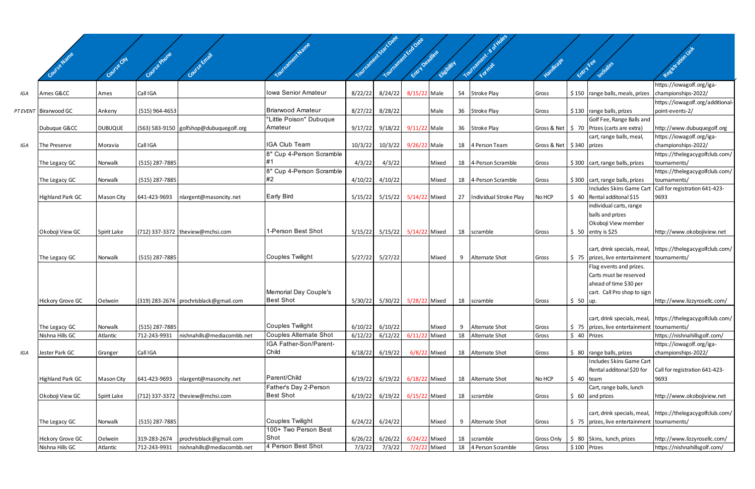|     |                         |                     |                          |                                                       |                                    |         | outrainer 5 jail Date<br>Tournament Endorse |                      |           |    |                                  |                              |              |                                                                           |                                                            |
|-----|-------------------------|---------------------|--------------------------|-------------------------------------------------------|------------------------------------|---------|---------------------------------------------|----------------------|-----------|----|----------------------------------|------------------------------|--------------|---------------------------------------------------------------------------|------------------------------------------------------------|
|     |                         |                     |                          |                                                       |                                    |         |                                             |                      |           |    | Tourisment & d                   |                              |              |                                                                           | Registration inte                                          |
|     | Covies Jame             | Covise City         | Covi <sup>se Phone</sup> | Course Email                                          |                                    |         |                                             | Entry Decime         |           |    |                                  | Vandicaps                    |              |                                                                           |                                                            |
|     |                         |                     |                          |                                                       |                                    |         |                                             |                      | Chebitics |    |                                  |                              | Entry Fee    | Includes                                                                  |                                                            |
|     |                         |                     |                          |                                                       |                                    |         |                                             |                      |           |    |                                  |                              |              |                                                                           | https://iowagolf.org/iga-                                  |
| IGA | Ames G&CC               | Ames                | Call IGA                 |                                                       | Iowa Senior Amateur                | 8/22/22 | 8/24/22                                     | 8/15/22 Male         |           |    | 54 Stroke Play                   | Gross                        |              | \$150   range balls, meals, prizes                                        | championships-2022/                                        |
|     |                         |                     |                          |                                                       |                                    |         |                                             |                      |           |    |                                  |                              |              |                                                                           | https://iowagolf.org/additional-                           |
|     | PT EVENT Birarwood GC   | Ankeny              | $(515)$ 964-4653         |                                                       | <b>Briarwood Amateur</b>           | 8/27/22 | 8/28/22                                     |                      | Male      |    | 36 Stroke Play                   | Gross                        |              | $$130$ range balls, prizes                                                | point-events-2/                                            |
|     | Dubuque G&CC            | <b>DUBUQUE</b>      |                          | (563) 583-9150 golfshop@dubuquegolf.org               | "Little Poison" Dubuque<br>Amateur | 9/17/22 | 9/18/22                                     | 9/11/22 Male         |           |    | 36 Stroke Play                   |                              |              | Golf Fee, Range Balls and<br>Gross & Net   \$ 70 Prizes (carts are extra) | http://www.dubuquegolf.org                                 |
|     |                         |                     |                          |                                                       |                                    |         |                                             |                      |           |    |                                  |                              |              | cart, range balls, meal,                                                  | https://iowagolf.org/iga-                                  |
| IGA | The Preserve            | Moravia             | Call IGA                 |                                                       | <b>IGA Club Team</b>               | 10/3/22 |                                             | 10/3/22 9/26/22 Male |           |    | 18 4 Person Team                 | Gross & Net   \$340   prizes |              |                                                                           | championships-2022/                                        |
|     |                         |                     |                          |                                                       | 8" Cup 4-Person Scramble           |         |                                             |                      |           |    |                                  |                              |              |                                                                           | https://thelegacygolfclub.com/                             |
|     | The Legacy GC           | Norwalk             | (515) 287-7885           |                                                       | #1                                 | 4/3/22  | 4/3/22                                      |                      | Mixed     |    | 18 4-Person Scramble             | Gross                        |              | \$300 cart, range balls, prizes                                           | tournaments/                                               |
|     |                         |                     |                          |                                                       | 8" Cup 4-Person Scramble           |         |                                             |                      |           |    |                                  |                              |              |                                                                           | https://thelegacygolfclub.com/                             |
|     | The Legacy GC           | Norwalk             | (515) 287-7885           |                                                       | #2                                 | 4/10/22 | 4/10/22                                     |                      | Mixed     |    | 18 4-Person Scramble             | Gross                        |              | $$300$ cart, range balls, prizes                                          | tournaments/                                               |
|     | <b>Highland Park GC</b> | Mason City          | 641-423-9693             | nlargent@masoncity.net                                | <b>Early Bird</b>                  | 5/15/22 | 5/15/22                                     | 5/14/22 Mixed        |           |    | 27 Individual Stroke Play        | No HCP                       |              | Includes Skins Game Cart<br>$\frac{1}{2}$ 40 Rental additonal \$15        | Call for registration 641-423-<br>9693                     |
|     |                         |                     |                          |                                                       |                                    |         |                                             |                      |           |    |                                  |                              |              | individual carts, range                                                   |                                                            |
|     |                         |                     |                          |                                                       |                                    |         |                                             |                      |           |    |                                  |                              |              | balls and prizes                                                          |                                                            |
|     |                         |                     |                          |                                                       |                                    |         |                                             |                      |           |    |                                  |                              |              | Okoboji View member                                                       |                                                            |
|     | Okoboji View GC         | Spirit Lake         |                          | (712) 337-3372 theview@mchsi.com                      | 1-Person Best Shot                 | 5/15/22 | 5/15/22                                     | 5/14/22 Mixed        |           |    | 18 scramble                      | Gross                        |              | $$50$ entry is \$25                                                       | http://www.okobojiview.net                                 |
|     |                         |                     |                          |                                                       |                                    |         |                                             |                      |           |    |                                  |                              |              |                                                                           |                                                            |
|     |                         |                     |                          |                                                       |                                    |         |                                             |                      |           |    |                                  |                              |              | cart, drink specials, meal,                                               | https://thelegacygolfclub.com/                             |
|     | The Legacy GC           | Norwalk             | (515) 287-7885           |                                                       | Couples Twilight                   | 5/27/22 | 5/27/22                                     |                      | Mixed     |    | 9 Alternate Shot                 | Gross                        |              | \$75   prizes, live entertainment   tournaments/                          |                                                            |
|     |                         |                     |                          |                                                       |                                    |         |                                             |                      |           |    |                                  |                              |              | Flag events and prizes.                                                   |                                                            |
|     |                         |                     |                          |                                                       |                                    |         |                                             |                      |           |    |                                  |                              |              | Carts must be reserved                                                    |                                                            |
|     |                         |                     |                          |                                                       | Memorial Day Couple's              |         |                                             |                      |           |    |                                  |                              |              | ahead of time \$30 per<br>cart. Call Pro shop to sign                     |                                                            |
|     | Hickory Grove GC        | Oelwein             |                          | (319) 283-2674   prochrisblack@gmail.com              | <b>Best Shot</b>                   | 5/30/22 | 5/30/22                                     | 5/28/22 Mixed        |           | 18 | scramble                         | Gross                        | $$50$  up.   |                                                                           | http://www.lizzyrosellc.com/                               |
|     |                         |                     |                          |                                                       |                                    |         |                                             |                      |           |    |                                  |                              |              |                                                                           |                                                            |
|     |                         |                     |                          |                                                       |                                    |         |                                             |                      |           |    |                                  |                              |              |                                                                           | cart, drink specials, meal, https://thelegacygolfclub.com/ |
|     | The Legacy GC           | Norwalk             | (515) 287-7885           |                                                       | Couples Twilight                   | 6/10/22 | 6/10/22                                     |                      | Mixed     |    | 9 Alternate Shot                 | Gross                        |              | \$75   prizes, live entertainment   tournaments/                          |                                                            |
|     | Nishna Hills GC         | Atlantic            | 712-243-9931             | nishnahills@mediacombb.net                            | Couples Alternate Shot             | 6/12/22 | 6/12/22                                     | 6/11/22 Mixed        |           | 18 | Alternate Shot                   | Gross                        | \$ 40 Prizes |                                                                           | https://nishnahillsgolf.com/                               |
|     |                         |                     |                          |                                                       | IGA Father-Son/Parent-             |         |                                             |                      |           |    |                                  |                              |              |                                                                           | https://iowagolf.org/iga-                                  |
| IGA | Jester Park GC          | Granger             | Call IGA                 |                                                       | Child                              | 6/18/22 | 6/19/22                                     | 6/8/22 Mixed         |           |    | 18 Alternate Shot                | Gross                        |              | $\frac{1}{2}$ 80   range balls, prizes                                    | championships-2022/                                        |
|     |                         |                     |                          |                                                       |                                    |         |                                             |                      |           |    |                                  |                              |              | Includes Skins Game Cart<br>Rental additonal \$20 for                     | Call for registration 641-423-                             |
|     | Highland Park GC        | <b>Mason City</b>   | 641-423-9693             | nlargent@masoncity.net                                | Parent/Child                       | 6/19/22 | 6/19/22                                     | 6/18/22 Mixed        |           |    | 18 Alternate Shot                | No HCP                       | $$40$ team   |                                                                           | 9693                                                       |
|     |                         |                     |                          |                                                       | Father's Day 2-Person              |         |                                             |                      |           |    |                                  |                              |              | Cart, range balls, lunch                                                  |                                                            |
|     | Okoboji View GC         | Spirit Lake         |                          | (712) 337-3372 theview@mchsi.com                      | <b>Best Shot</b>                   | 6/19/22 | 6/19/22                                     | 6/15/22 Mixed        |           |    | 18 scramble                      | Gross                        |              | $$60$ and prizes                                                          | http://www.okobojiview.net                                 |
|     |                         |                     |                          |                                                       |                                    |         |                                             |                      |           |    |                                  |                              |              |                                                                           |                                                            |
|     |                         |                     |                          |                                                       |                                    |         |                                             |                      |           |    |                                  |                              |              | cart, drink specials, meal,                                               | https://thelegacygolfclub.com/                             |
|     | The Legacy GC           | Norwalk             | (515) 287-7885           |                                                       | Couples Twilight                   | 6/24/22 | 6/24/22                                     |                      | Mixed     |    | 9 Alternate Shot                 | Gross                        |              | \$75   prizes, live entertainment   tournaments/                          |                                                            |
|     |                         |                     |                          |                                                       | 100+ Two Person Best               |         |                                             |                      |           |    |                                  |                              |              |                                                                           |                                                            |
|     | Hickory Grove GC        | Oelwein<br>Atlantic | 319-283-2674             | prochrisblack@gmail.com<br>nishnahills@mediacombb.net | Shot<br>4 Person Best Shot         | 6/26/22 | 6/26/22<br>7/3/22                           | 6/24/22 Mixed        |           | 18 | scramble<br>18 4 Person Scramble | Gross Only                   |              | \$ 80 Skins, lunch, prizes<br>$$100$ Prizes                               | http://www.lizzyrosellc.com/                               |
|     | Nishna Hills GC         |                     | 712-243-9931             |                                                       |                                    | 7/3/22  |                                             | 7/2/22 Mixed         |           |    |                                  | Gross                        |              |                                                                           | https://nishnahillsgolf.com/                               |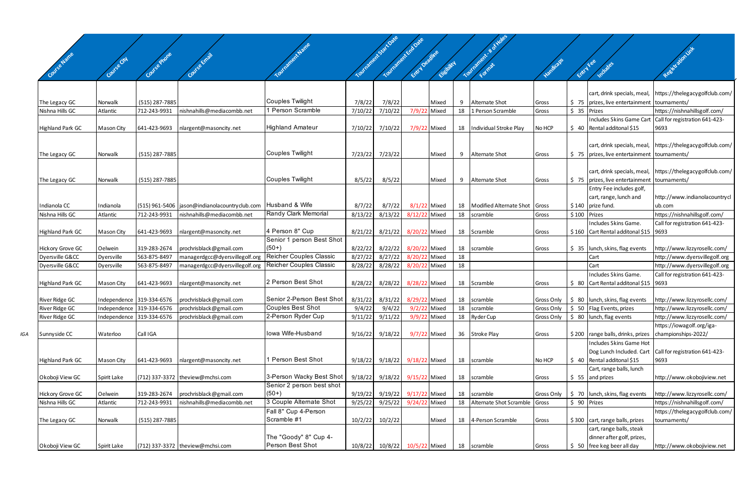|     |                                     |                       |                                |                                                                  |                                              |         | Yourianchi-Satioze<br>Tourranted back |                       |                |           | Tourisancer - Not liabe                    |                |              |                                                  |                                                               |
|-----|-------------------------------------|-----------------------|--------------------------------|------------------------------------------------------------------|----------------------------------------------|---------|---------------------------------------|-----------------------|----------------|-----------|--------------------------------------------|----------------|--------------|--------------------------------------------------|---------------------------------------------------------------|
|     |                                     |                       |                                |                                                                  |                                              |         |                                       |                       |                |           |                                            |                |              |                                                  |                                                               |
|     |                                     |                       |                                |                                                                  |                                              |         |                                       |                       |                |           |                                            |                |              |                                                  |                                                               |
|     |                                     |                       | <b>Outre Phone</b>             |                                                                  |                                              |         |                                       | Entry Deadline        | Elisbitch      |           |                                            |                | Entry Fee    | Includes                                         | Resistation int                                               |
|     |                                     |                       |                                |                                                                  |                                              |         |                                       |                       |                |           |                                            |                |              |                                                  |                                                               |
|     |                                     |                       |                                |                                                                  |                                              |         |                                       |                       |                |           |                                            |                |              |                                                  |                                                               |
|     |                                     |                       |                                |                                                                  |                                              |         |                                       |                       |                |           |                                            |                |              |                                                  | cart, drink specials, meal, https://thelegacygolfclub.com/    |
|     | The Legacy GC<br>Nishna Hills GC    | Norwalk<br>Atlantic   | (515) 287-7885<br>712-243-9931 |                                                                  | <b>Couples Twilight</b><br>1 Person Scramble | 7/8/22  | 7/8/22                                |                       | Mixed<br>Mixed | - 9<br>18 | <b>Alternate Shot</b><br>1 Person Scramble | Gross<br>Gross | \$ 35 Prizes | \$75   prizes, live entertainment   tournaments/ | https://nishnahillsgolf.com/                                  |
|     |                                     |                       |                                | nishnahills@mediacombb.net                                       |                                              | 7/10/22 | 7/10/22                               | 7/9/22                |                |           |                                            |                |              | <b>Includes Skins Game Cart</b>                  | Call for registration 641-423-                                |
|     | Highland Park GC                    | Mason City            | 641-423-9693                   | nlargent@masoncity.net                                           | <b>Highland Amateur</b>                      | 7/10/22 | 7/10/22                               |                       | 7/9/22 Mixed   | 18        | Individual Stroke Play                     | No HCP         |              | $$40$ Rental additonal \$15                      | 9693                                                          |
|     |                                     |                       |                                |                                                                  |                                              |         |                                       |                       |                |           |                                            |                |              |                                                  |                                                               |
|     |                                     |                       |                                |                                                                  |                                              |         |                                       |                       |                |           |                                            |                |              |                                                  | cart, drink specials, meal, https://thelegacygolfclub.com/    |
|     | The Legacy GC                       | Norwalk               | (515) 287-7885                 |                                                                  | <b>Couples Twilight</b>                      |         | 7/23/22 7/23/22                       |                       | Mixed          | 9         | <b>Alternate Shot</b>                      | Gross          |              | \$75   prizes, live entertainment   tournaments/ |                                                               |
|     |                                     |                       |                                |                                                                  |                                              |         |                                       |                       |                |           |                                            |                |              |                                                  |                                                               |
|     |                                     |                       |                                |                                                                  |                                              |         |                                       |                       |                |           |                                            |                |              |                                                  | cart, drink specials, meal, https://thelegacygolfclub.com/    |
|     | The Legacy GC                       | Norwalk               | (515) 287-7885                 |                                                                  | <b>Couples Twilight</b>                      | 8/5/22  | 8/5/22                                |                       | Mixed          | - 9       | Alternate Shot                             | Gross          |              | \$75   prizes, live entertainment   tournaments/ |                                                               |
|     |                                     |                       |                                |                                                                  |                                              |         |                                       |                       |                |           |                                            |                |              | Entry Fee includes golf,                         |                                                               |
|     |                                     |                       |                                |                                                                  |                                              |         |                                       |                       |                |           |                                            |                |              | cart, range, lunch and                           | http://www.indianolacountrycl                                 |
|     | Indianola CC                        | Indianola             |                                | (515) 961-5406   jason@indianolacountryclub.com   Husband & Wife |                                              | 8/7/22  | 8/7/22                                | 8/1/22 Mixed          |                | 18        | Modified Alternate Shot Gross              |                |              | $$140$ prize fund.                               | ub.com                                                        |
|     | Nishna Hills GC                     | Atlantic              | 712-243-9931                   | nishnahills@mediacombb.net                                       | Randy Clark Memorial                         | 8/13/22 | 8/13/22                               | 8/12/22 Mixed         |                |           | 18 scramble                                | Gross          | \$100 Prizes |                                                  | https://nishnahillsgolf.com/                                  |
|     |                                     |                       |                                |                                                                  |                                              |         |                                       |                       |                |           |                                            |                |              | Includes Skins Game.                             | Call for registration 641-423-                                |
|     | Highland Park GC                    | Mason City            | 641-423-9693                   | nlargent@masoncity.net                                           | 4 Person 8" Cup                              |         | 8/21/22 8/21/22 8/20/22 Mixed         |                       |                |           | 18 Scramble                                | Gross          |              | \$160   Cart Rental additonal \$15   9693        |                                                               |
|     |                                     |                       | 319-283-2674                   |                                                                  | Senior 1 person Best Shot<br>$(50+)$         | 8/22/22 | 8/22/22                               | 8/20/22 Mixed         |                |           |                                            |                |              |                                                  |                                                               |
|     | Hickory Grove GC<br>Dyersville G&CC | Oelwein<br>Dyersville | 563-875-8497                   | prochrisblack@gmail.com<br>managerdgcc@dyersvillegolf.org        | <b>Reicher Couples Classic</b>               | 8/27/22 | 8/27/22                               | 8/20/22 Mixed         |                | 18<br>18  | scramble                                   | Gross          |              | \$ 35   lunch, skins, flag events<br>Cart        | http://www.lizzyrosellc.com/<br>http://www.dyersvillegolf.org |
|     | Dyersville G&CC                     | Dyersville            | 563-875-8497                   | managerdgcc@dyersvillegolf.org                                   | <b>Reicher Couples Classic</b>               | 8/28/22 | 8/28/22                               | 8/20/22 Mixed         |                | 18        |                                            |                |              | Cart                                             | http://www.dyersvillegolf.org                                 |
|     |                                     |                       |                                |                                                                  |                                              |         |                                       |                       |                |           |                                            |                |              | Includes Skins Game.                             | Call for registration 641-423-                                |
|     | Highland Park GC                    | Mason City            | 641-423-9693                   | nlargent@masoncity.net                                           | 2 Person Best Shot                           | 8/28/22 | 8/28/22                               | 8/28/22 Mixed         |                | 18        | Scramble                                   | Gross          |              | \$ 80   Cart Rental additonal \$15   9693        |                                                               |
|     |                                     |                       |                                |                                                                  |                                              |         |                                       |                       |                |           |                                            |                |              |                                                  |                                                               |
|     | River Ridge GC                      |                       | Independence 319-334-6576      | prochrisblack@gmail.com                                          | Senior 2-Person Best Shot                    | 8/31/22 | 8/31/22                               | 8/29/22 Mixed         |                | 18        | scramble                                   | Gross Only     |              | $\frac{1}{2}$ 80   lunch, skins, flag events     | http://www.lizzyrosellc.com/                                  |
|     | River Ridge GC                      |                       | Independence 319-334-6576      | prochrisblack@gmail.com                                          | Couples Best Shot                            | 9/4/22  | 9/4/22                                | $9/2/22$ Mixed        |                | 18        | scramble                                   | Gross Only     |              | $\frac{1}{2}$ 50 Flag Events, prizes             | http://www.lizzyrosellc.com/                                  |
|     | River Ridge GC                      |                       | Independence 319-334-6576      | prochrisblack@gmail.com                                          | 2-Person Ryder Cup                           |         | $9/11/22$ $9/11/22$                   | 9/9/22 Mixed          |                |           | 18 Ryder Cup                               | Gross Only     |              | $\frac{1}{2}$ 80   lunch, flag events            | http://www.lizzyrosellc.com/                                  |
|     |                                     |                       |                                |                                                                  |                                              |         |                                       |                       |                |           |                                            |                |              |                                                  | https://iowagolf.org/iga-                                     |
| IGA | Sunnyside CC                        | Waterloo              | Call IGA                       |                                                                  | Iowa Wife-Husband                            | 9/16/22 | 9/18/22                               | 9/7/22 Mixed          |                |           | 36 Stroke Play                             | Gross          |              | \$200   range balls, drinks, prizes              | championships-2022/                                           |
|     |                                     |                       |                                |                                                                  |                                              |         |                                       |                       |                |           |                                            |                |              | Includes Skins Game Hot                          |                                                               |
|     |                                     |                       |                                |                                                                  |                                              |         |                                       |                       |                |           |                                            |                |              |                                                  | Dog Lunch Included. Cart Call for registration 641-423-       |
|     | Highland Park GC                    | Mason City            | 641-423-9693                   | nlargent@masoncity.net                                           | 1 Person Best Shot                           | 9/18/22 |                                       | 9/18/22 9/18/22 Mixed |                | 18        | scramble                                   | No HCP         |              | $\frac{1}{2}$ 40 Rental additonal \$15           | 9693                                                          |
|     |                                     |                       |                                | (712) 337-3372 theview@mchsi.com                                 | 3-Person Wacky Best Shot                     |         |                                       |                       |                |           |                                            |                |              | Cart, range balls, lunch                         |                                                               |
|     | Okoboji View GC                     | Spirit Lake           |                                |                                                                  | Senior 2 person best shot                    | 9/18/22 |                                       | 9/18/22 9/15/22 Mixed |                |           | 18 scramble                                | Gross          |              | $$55$ and prizes                                 | http://www.okobojiview.net                                    |
|     | Hickory Grove GC                    | Oelwein               | 319-283-2674                   | prochrisblack@gmail.com                                          | $(50+)$                                      | 9/19/22 | 9/19/22                               | 9/17/22 Mixed         |                | 18        | scramble                                   | Gross Only     |              | $\frac{1}{2}$ 70   lunch, skins, flag events     | http://www.lizzyrosellc.com/                                  |
|     | Nishna Hills GC                     | Atlantic              | 712-243-9931                   | nishnahills@mediacombb.net                                       | 3 Couple Alternate Shot                      | 9/25/22 | 9/25/22                               | 9/24/22 Mixed         |                | 18        | Alternate Shot Scramble                    | Gross          | \$ 90 Prizes |                                                  | https://nishnahillsgolf.com/                                  |
|     |                                     |                       |                                |                                                                  | Fall 8" Cup 4-Person                         |         |                                       |                       |                |           |                                            |                |              |                                                  | https://thelegacygolfclub.com/                                |
|     | The Legacy GC                       | Norwalk               | (515) 287-7885                 |                                                                  | Scramble #1                                  | 10/2/22 | 10/2/22                               |                       | Mixed          | 18        | 4-Person Scramble                          | Gross          |              | \$300 cart, range balls, prizes                  | tournaments/                                                  |
|     |                                     |                       |                                |                                                                  |                                              |         |                                       |                       |                |           |                                            |                |              | cart, range balls, steak                         |                                                               |
|     |                                     |                       |                                |                                                                  | The "Goody" 8" Cup 4-                        |         |                                       |                       |                |           |                                            |                |              | dinner after golf, prizes,                       |                                                               |
|     | Okoboji View GC                     | Spirit Lake           |                                | (712) 337-3372 theview@mchsi.com                                 | Person Best Shot                             |         | 10/8/22 10/8/22 10/5/22 Mixed         |                       |                |           | 18 scramble                                | Gross          |              | \$ 50 free keg beer all day                      | http://www.okobojiview.net                                    |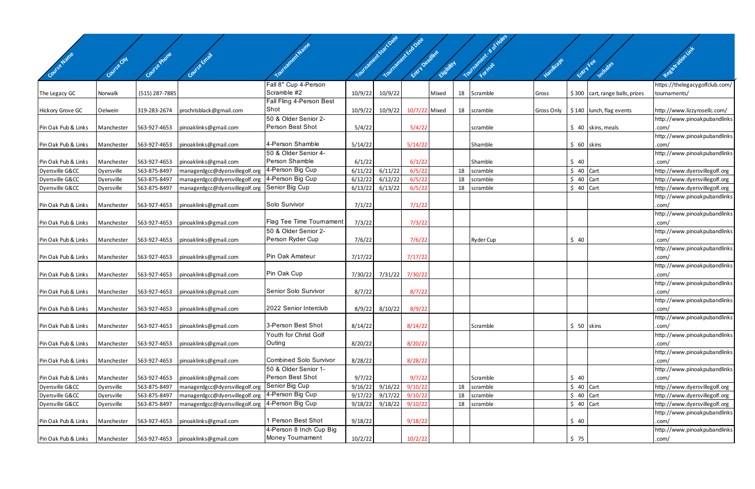|                     |             |                |                                      |                                      |         | Tourisment Start Date | Tourmontant Erapage |             |    | Tournament. # 5 Holes |            |             |                                 |                                                               |
|---------------------|-------------|----------------|--------------------------------------|--------------------------------------|---------|-----------------------|---------------------|-------------|----|-----------------------|------------|-------------|---------------------------------|---------------------------------------------------------------|
|                     |             |                |                                      |                                      |         |                       |                     |             |    |                       |            |             |                                 |                                                               |
| Covise Name         | Covise City | Covie e prone  |                                      |                                      |         |                       | Entry Depthic       | Eligibility |    |                       |            |             | ERITY FEE<br>Indudes            | Registration int                                              |
|                     |             |                |                                      |                                      |         |                       |                     |             |    |                       |            |             |                                 |                                                               |
|                     |             |                |                                      | Fall 8" Cup 4-Person<br>Scramble #2  |         |                       |                     |             |    |                       |            |             |                                 | https://thelegacygolfclub.com/                                |
| The Legacy GC       | Norwalk     | (515) 287-7885 |                                      | Fall Fling 4-Person Best             | 10/9/22 | 10/9/22               |                     | Mixed       | 18 | Scramble              | Gross      |             | \$300 cart, range balls, prizes | tournaments/                                                  |
| Hickory Grove GC    | Oelwein     | 319-283-2674   | prochrisblack@gmail.com              | Shot                                 | 10/9/22 | 10/9/22               | 10/7/22 Mixed       |             | 18 | scramble              | Gross Only |             | $$140$ lunch, flag events       | http://www.lizzyrosellc.com/                                  |
|                     |             |                |                                      | 50 & Older Senior 2-                 |         |                       |                     |             |    |                       |            |             |                                 | http://www.pinoakpubandlinks                                  |
| Pin Oak Pub & Links | Manchester  | 563-927-4653   | pinoaklinks@gmail.com                | Person Best Shot                     | 5/4/22  |                       | 5/4/22              |             |    | scramble              |            |             | $$40$ skins, meals              | .com/                                                         |
|                     |             |                |                                      |                                      |         |                       |                     |             |    |                       |            |             |                                 | http://www.pinoakpubandlinks                                  |
| Pin Oak Pub & Links | Manchester  | 563-927-4653   | pinoaklinks@gmail.com                | 4-Person Shamble                     | 5/14/22 |                       | 5/14/22             |             |    | Shamble               |            | $$60$ skins |                                 | .com/                                                         |
|                     |             |                |                                      | 50 & Older Senior 4-                 |         |                       |                     |             |    |                       |            |             |                                 | http://www.pinoakpubandlinks                                  |
| Pin Oak Pub & Links | Manchester  | 563-927-4653   | pinoaklinks@gmail.com                | Person Shamble                       | 6/1/22  |                       | 6/1/22              |             |    | Shamble               |            | \$40        |                                 | .com/                                                         |
| Dyersville G&CC     | Dyersville  | 563-875-8497   | managerdgcc@dyersvillegolf.org       | 4-Person Big Cup                     | 6/11/22 | 6/11/22               | 6/5/22              |             | 18 | scramble              |            | $$40$ Cart  |                                 | http://www.dyersvillegolf.org                                 |
| Dyersville G&CC     | Dyersville  | 563-875-8497   | managerdgcc@dyersvillegolf.org       | 4-Person Big Cup                     | 6/12/22 | 6/12/22               | 6/5/22              |             | 18 | scramble              |            | $$40$ Cart  |                                 | http://www.dyersvillegolf.org                                 |
| Dyersville G&CC     | Dyersville  | 563-875-8497   | managerdgcc@dyersvillegolf.org       | Senior Big Cup                       | 6/13/22 | 6/13/22               | 6/5/22              |             | 18 | scramble              |            | $$40$ Cart  |                                 | http://www.dyersvillegolf.org                                 |
| Pin Oak Pub & Links | Manchester  | 563-927-4653   | pinoaklinks@gmail.com                | Solo Survivor                        | 7/1/22  |                       | 7/1/22              |             |    |                       |            |             |                                 | http://www.pinoakpubandlinks<br>.com/                         |
|                     |             |                |                                      |                                      |         |                       |                     |             |    |                       |            |             |                                 | http://www.pinoakpubandlinks                                  |
| Pin Oak Pub & Links | Manchester  | 563-927-4653   | pinoaklinks@gmail.com                | <b>Flag Tee Time Tournament</b>      | 7/3/22  |                       | 7/3/22              |             |    |                       |            |             |                                 | .com/                                                         |
|                     |             |                |                                      | 50 & Older Senior 2-                 |         |                       |                     |             |    |                       |            |             |                                 | http://www.pinoakpubandlinks                                  |
| Pin Oak Pub & Links | Manchester  | 563-927-4653   | pinoaklinks@gmail.com                | Person Ryder Cup                     | 7/6/22  |                       | 7/6/22              |             |    | Ryder Cup             |            | \$40        |                                 | .com/                                                         |
|                     |             |                |                                      |                                      |         |                       |                     |             |    |                       |            |             |                                 | http://www.pinoakpubandlinks                                  |
| Pin Oak Pub & Links | Manchester  | 563-927-4653   | pinoaklinks@gmail.com                | Pin Oak Amateur                      | 7/17/22 |                       | 7/17/22             |             |    |                       |            |             |                                 | .com/                                                         |
|                     |             |                |                                      |                                      |         |                       |                     |             |    |                       |            |             |                                 | http://www.pinoakpubandlinks                                  |
| Pin Oak Pub & Links | Manchester  | 563-927-4653   | pinoaklinks@gmail.com                | Pin Oak Cup                          | 7/30/22 | 7/31/22               | 7/30/22             |             |    |                       |            |             |                                 | .com/                                                         |
|                     |             |                |                                      |                                      |         |                       |                     |             |    |                       |            |             |                                 | http://www.pinoakpubandlinks                                  |
| Pin Oak Pub & Links | Manchester  | 563-927-4653   | pinoaklinks@gmail.com                | Senior Solo Survivor                 | 8/7/22  |                       | 8/7/22              |             |    |                       |            |             |                                 | .com/                                                         |
| Pin Oak Pub & Links | Manchester  |                | 563-927-4653   pinoaklinks@gmail.com | 2022 Senior Interclub                |         | $8/9/22$ $8/10/22$    | 8/9/22              |             |    |                       |            |             |                                 | http://www.pinoakpubandlinks<br>.com/                         |
|                     |             |                |                                      |                                      |         |                       |                     |             |    |                       |            |             |                                 | http://www.pinoakpubandlinks                                  |
| Pin Oak Pub & Links | Manchester  | 563-927-4653   | pinoaklinks@gmail.com                | 3-Person Best Shot                   | 8/14/22 |                       | 8/14/22             |             |    | Scramble              |            |             | $$50$ skins                     | .com/                                                         |
|                     |             |                |                                      | Youth for Christ Golf                |         |                       |                     |             |    |                       |            |             |                                 | http://www.pinoakpubandlinks                                  |
| Pin Oak Pub & Links | Manchester  | 563-927-4653   | pinoaklinks@gmail.com                | Outing                               | 8/20/22 |                       | 8/20/22             |             |    |                       |            |             |                                 | .com/                                                         |
|                     |             |                |                                      |                                      |         |                       |                     |             |    |                       |            |             |                                 | http://www.pinoakpubandlinks                                  |
| Pin Oak Pub & Links | Manchester  | 563-927-4653   | pinoaklinks@gmail.com                | <b>Combined Solo Survivor</b>        | 8/28/22 |                       | 8/28/22             |             |    |                       |            |             |                                 | .com/                                                         |
|                     |             |                |                                      | 50 & Older Senior 1-                 |         |                       |                     |             |    |                       |            |             |                                 | http://www.pinoakpubandlinks                                  |
| Pin Oak Pub & Links | Manchester  | 563-927-4653   | pinoaklinks@gmail.com                | Person Best Shot                     | 9/7/22  |                       | 9/7/22              |             |    | Scramble              |            | \$40        |                                 | .com/                                                         |
| Dyersville G&CC     | Dyersville  | 563-875-8497   | managerdgcc@dyersvillegolf.org       | Senior Big Cup                       | 9/16/22 | 9/16/22               | 9/10/22             |             | 18 | scramble              |            | $$40$ Cart  |                                 | http://www.dyersvillegolf.org                                 |
| Dyersville G&CC     | Dyersville  | 563-875-8497   | managerdgcc@dyersvillegolf.org       | 4-Person Big Cup<br>4-Person Big Cup | 9/17/22 | 9/17/22               | 9/10/22             |             | 18 | scramble              |            | $$40$ Cart  |                                 | http://www.dyersvillegolf.org                                 |
| Dyersville G&CC     | Dyersville  | 563-875-8497   | managerdgcc@dyersvillegolf.org       |                                      | 9/18/22 | 9/18/22               | 9/10/22             |             | 18 | scramble              |            | $$40$ Cart  |                                 | http://www.dyersvillegolf.org<br>http://www.pinoakpubandlinks |
| Pin Oak Pub & Links | Manchester  | 563-927-4653   | pinoaklinks@gmail.com                | Person Best Shot                     | 9/18/22 |                       | 9/18/22             |             |    |                       |            | \$40        |                                 | .com/                                                         |
|                     |             |                |                                      | 4-Person 8 Inch Cup Big              |         |                       |                     |             |    |                       |            |             |                                 | http://www.pinoakpubandlinks                                  |
| Pin Oak Pub & Links | Manchester  |                | 563-927-4653   pinoaklinks@gmail.com | Money Tournament                     | 10/2/22 |                       | 10/2/22             |             |    |                       |            | \$75        |                                 | .com/                                                         |
|                     |             |                |                                      |                                      |         |                       |                     |             |    |                       |            |             |                                 |                                                               |